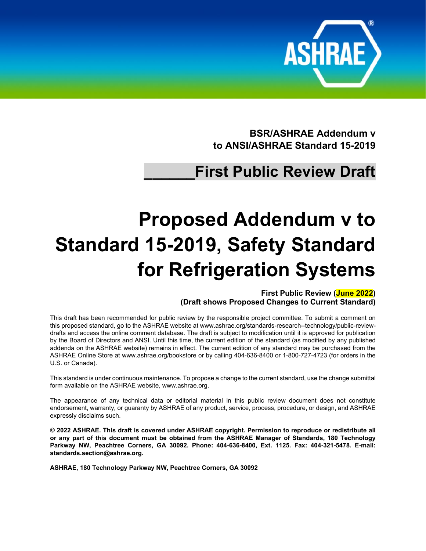

**BSR/ASHRAE Addendum v to ANSI/ASHRAE Standard 15-2019**

## **\_\_\_\_\_\_First Public Review Draft**

# **Proposed Addendum v to Standard 15-2019, Safety Standard for Refrigeration Systems**

**First Public Review (June 2022) (Draft shows Proposed Changes to Current Standard)**

This draft has been recommended for public review by the responsible project committee. To submit a comment on this proposed standard, go to the ASHRAE website a[t www.ashrae.org/standards-research--technology/public-review](http://www.ashrae.org/standards-research--technology/public-review-drafts)[drafts](http://www.ashrae.org/standards-research--technology/public-review-drafts) and access the online comment database. The draft is subject to modification until it is approved for publication by the Board of Directors and ANSI. Until this time, the current edition of the standard (as modified by any published addenda on the ASHRAE website) remains in effect. The current edition of any standard may be purchased from the ASHRAE Online Store at [www.ashrae.org/bookstore](http://www.ashrae.org/bookstore) or by calling 404-636-8400 or 1-800-727-4723 (for orders in the U.S. or Canada).

This standard is under continuous maintenance. To propose a change to the current standard, use the change submittal form available on the ASHRAE website, [www.ashrae.org.](http://www.ashrae.org/)

The appearance of any technical data or editorial material in this public review document does not constitute endorsement, warranty, or guaranty by ASHRAE of any product, service, process, procedure, or design, and ASHRAE expressly disclaims such.

**© 2022 ASHRAE. This draft is covered under ASHRAE copyright. Permission to reproduce or redistribute all or any part of this document must be obtained from the ASHRAE Manager of Standards, 180 Technology Parkway NW, Peachtree Corners, GA 30092. Phone: 404-636-8400, Ext. 1125. Fax: 404-321-5478. E-mail: [standards.section@ashrae.org.](mailto:standards.section@ashrae.org)**

**ASHRAE, 180 Technology Parkway NW, Peachtree Corners, GA 30092**